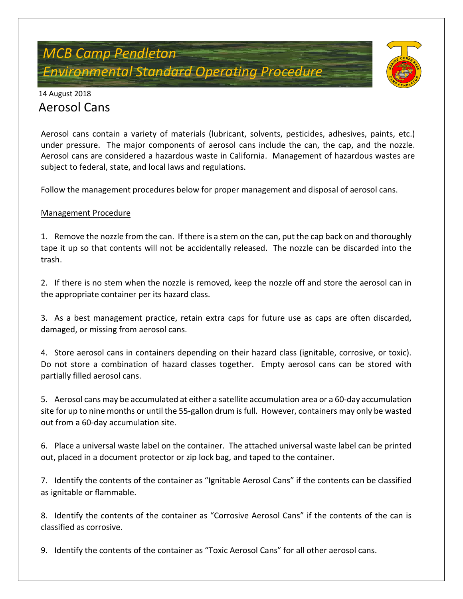# *MCB Camp Pendleton Environmental Standard Operating Procedure*



### 14 August 2018 Aerosol Cans

Aerosol cans contain a variety of materials (lubricant, solvents, pesticides, adhesives, paints, etc.) under pressure. The major components of aerosol cans include the can, the cap, and the nozzle. Aerosol cans are considered a hazardous waste in California. Management of hazardous wastes are subject to federal, state, and local laws and regulations.

Follow the management procedures below for proper management and disposal of aerosol cans.

#### Management Procedure

1. Remove the nozzle from the can. If there is a stem on the can, put the cap back on and thoroughly tape it up so that contents will not be accidentally released. The nozzle can be discarded into the trash.

2. If there is no stem when the nozzle is removed, keep the nozzle off and store the aerosol can in the appropriate container per its hazard class.

3. As a best management practice, retain extra caps for future use as caps are often discarded, damaged, or missing from aerosol cans.

4. Store aerosol cans in containers depending on their hazard class (ignitable, corrosive, or toxic). Do not store a combination of hazard classes together. Empty aerosol cans can be stored with partially filled aerosol cans.

5. Aerosol cans may be accumulated at either a satellite accumulation area or a 60-day accumulation site for up to nine months or until the 55-gallon drum is full. However, containers may only be wasted out from a 60-day accumulation site.

6. Place a universal waste label on the container. The attached universal waste label can be printed out, placed in a document protector or zip lock bag, and taped to the container.

7. Identify the contents of the container as "Ignitable Aerosol Cans" if the contents can be classified as ignitable or flammable.

8. Identify the contents of the container as "Corrosive Aerosol Cans" if the contents of the can is classified as corrosive.

9. Identify the contents of the container as "Toxic Aerosol Cans" for all other aerosol cans.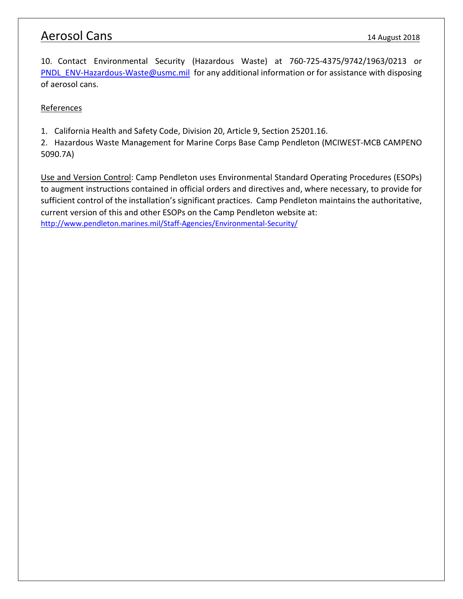### Aerosol Cans 14 August 2018

10. Contact Environmental Security (Hazardous Waste) at 760-725-4375/9742/1963/0213 or [PNDL\\_ENV-Hazardous-Waste@usmc.mil](mailto:PNDL_ENV-Hazardous-Waste@usmc.mil) for any additional information or for assistance with disposing of aerosol cans.

#### **References**

1. California Health and Safety Code, Division 20, Article 9, Section 25201.16.

2. Hazardous Waste Management for Marine Corps Base Camp Pendleton (MCIWEST-MCB CAMPENO 5090.7A)

Use and Version Control: Camp Pendleton uses Environmental Standard Operating Procedures (ESOPs) to augment instructions contained in official orders and directives and, where necessary, to provide for sufficient control of the installation's significant practices. Camp Pendleton maintains the authoritative, current version of this and other ESOPs on the Camp Pendleton website at: <http://www.pendleton.marines.mil/Staff-Agencies/Environmental-Security/>